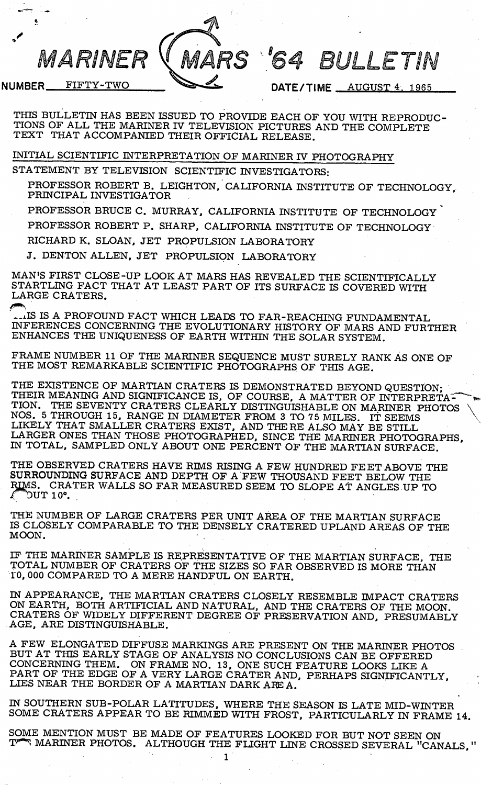MARINER

RS '64 BULLETIN

NUMBER FIFTY-TWO

DATE/TIME \_\_ AUGUST 4. 1965

THIS BULLETIN HAS BEEN ISSUED TO PROVIDE EACH OF YOU WITH REPRODUC TIONS OF ALL THE MARINER IV TELEVISION PICTURES AND THE COMPLETE TEXT THAT ACCOMPANIED THEIR OFFICIAL RELEASE.

INITIAL SCIENTIFIC INTERPRETATION OF MARINER IV PHOTOGRAPHY

STATEMENT BY TELEVISION SCIENTIFIC INVESTIGATORS:

PROFESSOR ROBERT B. LEIGHTON. CALIFORNIA INSTITUTE OF TECHNOLOGY, PRINCIPAL INVESTIGATOR

PROFESSOR BRUCE C. MURRAY, CALIFORNIA INSTITUTE OF TECHNOLOGY

PROFESSOR ROBERT P. SHARP, CALIFORNIA INSTITUTE OF TECHNOLOGY

RICHARD K. SLOAN, JET PROPULSION LABORATORY

J. DENTON ALLEN, JET PROPULSION LABORATORY

MAN'S FIRST CLOSE-UP LOOK AT MARS HAS REVEALED THE SCIENTIFICALLY STARTLING FACT THAT AT LEAST PART OF ITS SURFACE IS COVERED WITH LARGE CRATERS.

^.ilS IS A PROFOUND FACT WHICH LEADS TO FAR-REACHING FUNDAMENTAL INFERENCES CONCERNING THE EVOLUTIONARY HISTORY OF MARS AND FURTHER ENHANCES THE UNIQUENESS OF EARTH WITHIN THE SOLAR SYSTEM.

FRAME NUMBER 11 OF THE MARINER SEQUENCE MUST SURELY RANK AS ONE OF THE MOST REMARKABLE SCIENTIFIC PHOTOGRAPHS OF THIS AGE.

THE EXISTENCE OF MARTIAN CRATERS IS DEMONSTRATED BEYOND QUESTION: THEIR MEANING AND SIGNIFICANCE IS, OF COURSE, A MATTER OF INTERPRETA<sup>-</sup><br>TION. THE SEVENTY CRATERS CLEARLY DISTINGUISHABLE ON MARINER, PHOTO THE SEVENTY CRATERS CLEARLY DISTINGUISHABLE ON MARINER PHOTOS NOS. 5 THROUGH 15, RANGE IN DIAMETER FROM 3 TO 75 MILES. IT SEEMS \ LIKELY THAT SMALLER CRATERS EXIST, AND THERE ALSO MAY BE STILL LARGER ONES THAN THOSE PHOTOGRAPHED, SINCE THE MARINER PHOTOGRAPHS, IN TOTAL, SAMPLED ONLY ABOUT ONE PERCENT OF THE MARTIAN SURFACE.

THE OBSERVED CRATERS HAVE RIMS RISING A FEW HUNDRED FEET ABOVE THE SURROUNDING SURFACE AND DEPTH OF A FEW THOUSAND FEET BELOW THE RIMS. CRATER WALLS SO FAR MEASURED SEEM TO SLOPE AT ANGLES UP TO  $\sqrt{\phantom{a}}$  DUT 10°.

THE NUMBER OF LARGE CRATERS PER UNIT AREA OF THE MARTIAN SURFACE IS CLOSELY COMPARABLE TO THE DENSELY CRATERED UPLAND AREAS OF THE MOON.

IF THE MARINER SAMPLE IS REPRESENTATIVE OF THE MARTIAN SURFACE, THE TOTAL NUMBER OF CRATERS OF THE SIZES SO FAR OBSERVED IS MORE THAN TO, 000 COMPARED TO A MERE HANDFUL ON EARTH.

IN APPEARANCE, THE MARTIAN CRATERS CLOSELY RESEMBLE IMPACT CRATERS ON EARTH, BOTH ARTIFICIAL AND NATURAL, AND THE CRATERS OF THE MOON. CRATERS OF WIDELY DIFFERENT DEGREE OF PRESERVATION AND, PRESUMABLY AGE, ARE DISTINGUISHABLE.

A FEW ELONGATED DIFFUSE MARKINGS ARE PRESENT ON THE MARINER PHOTOS BUT AT THIS EARLY STAGE OF ANALYSIS NO CONCLUSIONS CAN BE OFFERED CONCERNING THEM. ON FRAME NO. 13, ONE SUCH FEATURE LOOKS LIKE A PART OF THE EDGE OF A VERY LARGE CRATER AND, PERHAPS SIGNIFICANTLY, LIES NEAR THE BORDER OF A MARTIAN DARK ARE A.

IN SOUTHERN SUB-POLAR LATITUDES, WHERE THE SEASON IS LATE MID-WINTER SOME CRATERS APPEAR TO BE RIMMED WITH FROST, PARTICULARLY IN FRAME 14.

SOME MENTION MUST BE MADE OF FEATURES LOOKED FOR BUT NOT SEEN ON MARINER PHOTOS. ALTHOUGH THE FLIGHT LINE CROSSED SEVERAL "CANALS,"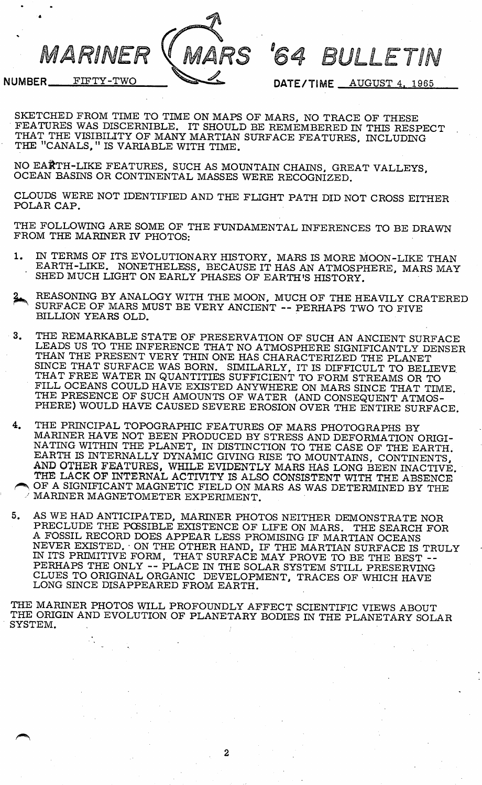RS

'64 BULLETIN

NUMBER FIFTY-TWO

MARINER

DATE/TIME \_ AUGUST 4, 1965

SKETCHED FROM TIME TO TIME ON MAPS OF MARS, NO TRACE OF THESE FEATURES WAS DISCERNIBLE. IT SHOULD BE REMEMBERED IN THIS RESPECT THAT THE VISIBILITY OF MANY MARTIAN SURFACE FEATURES. INCLUDING THE "CANALS," IS VARIABLE WITH TIME.

NO EARTH-LIKE FEATURES, SUCH AS MOUNTAIN CHAINS, GREAT VALLEYS. OCEAN BASINS OR CONTINENTAL MASSES WERE RECOGNIZED.

CLOUDS WERE NOT IDENTIFIED AND THE FLIGHT PATH DID NOT CROSS EITHER POLAR CAP.

THE FOLLOWING ARE SOME OF THE FUNDAMENTAL INFERENCES TO BE DRAWN FROM THE MARINER IV PHOTOS:

- 1. IN TERMS OF ITS EVOLUTIONARY HISTORY, MARS IS MORE MOON-LIKE THAN EARTH-LIKE. NONETHELESS, BECAUSE IT HAS AN ATMOSPHERE, MARS MAY SHED MUCH LIGHT ON EARLY PHASES OF EARTH'S HISTORY.
- REASONING BY ANALOGY WITH THE MOON, MUCH OF THE HEAVILY CRATERED SURFACE OF MARS MUST BE VERY ANCIENT -- PERHAPS TWO TO FIVE BILLION YEARS OLD.
- 3. THE REMARKABLE STATE OF PRESERVATION OF SUCH AN ANCIENT SURFACE LEADS US TO THE INFERENCE THAT NO ATMOSPHERE SIGNIFICANTLY DENSER THAN THE PRESENT VERY THIN ONE HAS CHARACTERIZED THE PLANET SINCE THAT SURFACE WAS BORN. SIMILARLY, IT IS DIFFICULT TO BELIEVE THAT FREE WATER IN QUANTITIES SUFFICIENT TO FORM STREAMS OR TO FILL OCEANS COULD HAVE EXISTED ANYWHERE ON MARS SINCE THAT TIME THE PRESENCE OF SUCH AMOUNTS OF WATER (AND CONSEQUENT ATMOS-PHERE) WOULD HAVE CAUSED SEVERE EROSION OVER THE ENTIRE SURFACE.
- 4. THE PRINCIPAL TOPOGRAPHIC FEATURES OF MARS PHOTOGRAPHS BY MARINER HAVE NOT BEEN PRODUCED BY STRESS AND DEFORMATION ORIGI NATING WITHIN THE PLANET, IN DISTINCTION TO THE CASE OF THE EARTH. EARTH IS INTERNALLY DYNAMIC GIVING RISE TO MOUNTAINS, CONTINENTS, AND OTHER FEATURES, WHILE EVIDENTLY MARS HAS LONG BEEN INACTIVE. THE LACK OP INTERNAL ACTIVITY IS ALSO CONSISTENT WITH THE ABSENCE OF A SIGNIFICANT MAGNETIC FIELD ON MARS AS WAS DETERMINED BY THE MARINER MAGNETOMETER EXPERIMENT.
- 5. AS WE HAD ANTICIPATED, MARINER PHOTOS NEITHER DEMONSTRATE NOR PRECLUDE THE POSSIBLE EXISTENCE OF LIFE ON MARS. THE SEARCH FOR A FOSSIL RECORD DOES APPEAR LESS PROMISING IF MARTIAN OCEANS NEVER EXISTED. • ON THE OTHER HAND, IF THE MARTIAN SURFACE IS TRULY IN ITS PRIMITIVE FORM, THAT SURFACE MAY PROVE TO BE THE BEST -- PERHAPS THE ONLY -- PLACE IN THE SOLAR SYSTEM STILL PRESERVING CLUES TO ORIGINAL ORGANIC DEVELOPMENT, TRACES OF WHICH HAVE LONG SINCE DISAPPEARED FROM EARTH.

THE MARINER PHOTOS WILL PROFOUNDLY AFFECT SCIENTIFIC VIEWS ABOUT THE ORIGIN AND EVOLUTION OF PLANETARY BODIES IN THE PLANETARY SOLAR SYSTEM.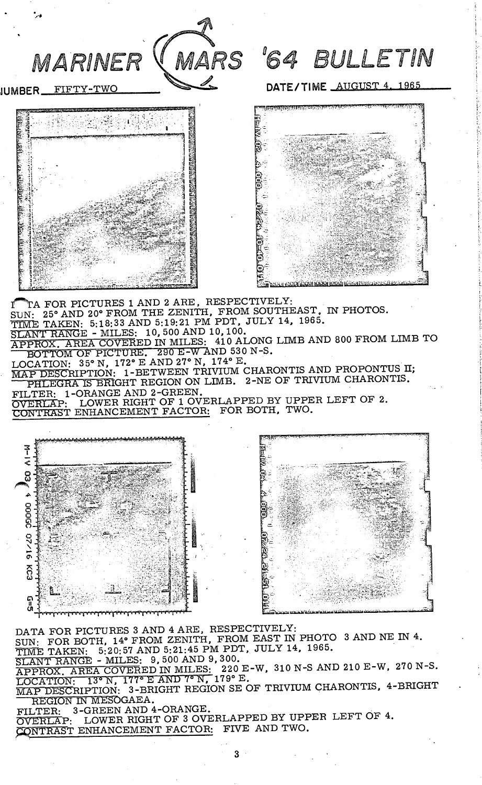

JUMBER FIFTY-TWO DATE/TIME AUGUST 4, 1965





 $\begin{array}{cc} \text{T} & \text{T} \text{A} \text{ FOR PICTURES} \text{1 AND } \text{2 A RE}, \text{ RES PEC IIVELI:} \\ \end{array}$ SUN: 25° AND 20° FROM THE ZENITH, FROM SOUTHEAST, IN PHOTOS. TIME TAKEN: 5:18:33 AND 5:19:21 PM PDT, JULY 14, 1965.<br>SLANT RANGE - MILES: 10,500 AND 10,100. APPROX. AREA COVERED IN MILES: 410 ALONG LIMB AND 800 FROM LIMB TO BOTTOM OF PICTURE. 290 E-W AND 530 N-S.  $LOGATION: 35° N, 172° E AND 27° N, 174° E.$ PHLEGRA IS BRIGHT REGION ON LIMB. 2-NE OF TRIVIUM CHARONTIS. FILTER: 1-ORANGE AND 2-GREEN.<br>The cover prove of 1 ovept appen by UPPER LEFT OVERLAP- LOWER RIGHT OF 1 OVERLAPPED BY UPPER LEFT OF 2. CONTRAST ENHANCEMENT FACTOR: FOR BOTH, TWO.



DATA FOR PICTURES 3 AND 4 ARE, RESPECTIVELY: SUN: FOR BOTH, 14º FROM ZENITH, FROM EAST IN PHOTO 3 AND NE IN 4.<br>TIME TAKEN: 5:20:57 AND 5:21:45 PM PDT, JULY 14, 1965.<br>SLANT RANGE - MILES: 9,500 AND 9,300.  $\overline{\text{SLANT RANGE - MILES}}$ : 9, 500 AND 9, 300.<br> $\overline{\text{SLANT RANGE - MILES}}$ : 9, 500 AND 9, 300 E W 210 N-S AND 210 E-W 270 N-S APPROX. AREA COVERED IN MILES: 220 E-W, 310 N-S AND 210 E-W, 270 N-S. T Y ^ r A T T O T S T 1 3 ^ N 1 7 7 ® E A N D 7 " N , 1 7 9 ® E . \_ \_ MAP DESCRIPTION- 3-BRIGHT REGION SE OF TRIVIUM CHARONTIS, 4-BRIGHT

REGION IN MESOGAEA. FILTER: 3-GREEN AND 4-ORANGE.<br>OVERLAP: LOWER RIGHT OF 3 OVERLAPPED BY UPPER LEFT OF 4.

CONTRAST ENHANCEMENT FACTOR: FIVE AND TWO.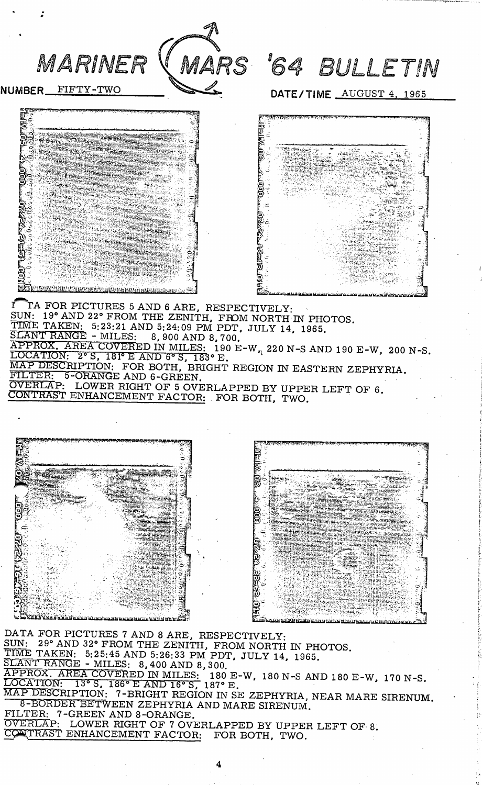

DATA FOR PICTURES 7 AND 8 ARE, RESPECTIVELY: SUN: 29° AND 32° FROM THE ZENITH, FROM NORTH IN PHOTOS TIME TAKEN: 5:25:45 AND 5:26:33 PM PDT. JULY 14, 1965. SLANT RANGE - MILES: 8, 400 AND 8, 300. MILES: 180 E-W, 180 N-S AND 180 E-W >7 187«' E. F BESCAIFTION: 7-BRIGHT REGION IN SE ZEPHYRIA, NEAR MARE 8-BORDER BETWEEN ZEPHYRIA AND MARE SIRENUM. FILTER: 7-GREEN AND 8-ORANGE. OVERLAP: LOWER RIGHT OF 7 OVERLAPPED BY UPPER LEFT OF 8. CONTRAST ENHANCEMENT FACTOR: FOR BOTH, TWO. 1 7 0 N - S . SIRENUM.

4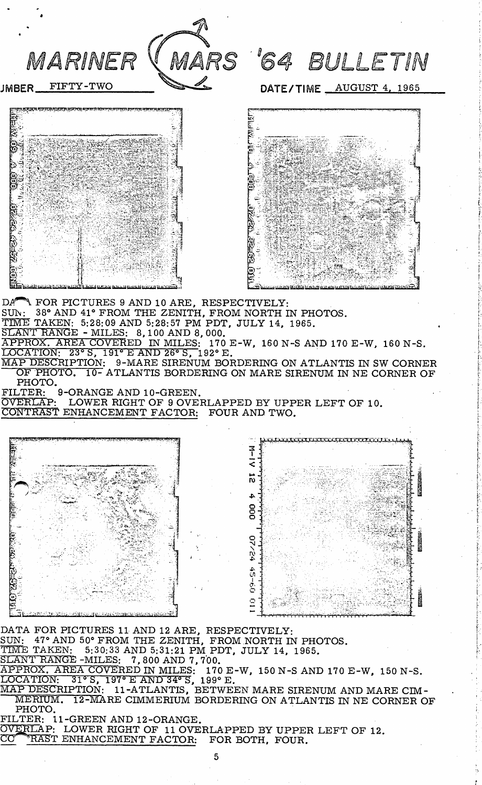

JMBER FIFTY-TWO

MARS '64 BULLETIN

DATE/TIME \_\_ AUGUST 4, 1965



DA<sup>r</sup>N FOR PICTURES 9 AND 10 ARE, RESPECTIVELY: SUN: 38° AND 41° FROM THE ZENITH, FROM NORTH IN PHOTOS. TIME TAKEN: 5:28:09 AND 5:28:57 PM PDT, JULY 14, 1965. SLANT RANGE - MILES: 8,100 AND 8,000. APPROX. AREA COVERED IN MILES: 170 E-W, 160 N-S AND 170 E-W, 160 N-S. LOCATION: 23° S, 191° E AND 26° S, 192® E. MAP DESCRIPTION: 9-MARE SIRENUM BORDERING ON ATLANTIS IN SW CORNER OF PHOTO. 10- ATLANTIS BORDERING ON MARE SIRENUM IN NE CORNER OF PHOTO.<br>FILTER: 9-ORANGE AND 10-GREEN. OVERLAP: LOWER RIGHT OF 9 OVERLAPPED BY UPPER LEFT OF 10. CONTRAST ENHANCEMENT FACTOR: FOUR AND TWO.



DATA FOR PICTURES 11 AND 12 ARE, RESPECTIVELY: SUN: 47° AND 50° FROM THE ZENITH, FROM NORTH IN PHOTOS. TIME TAKEN: 5:30:33 AND 5:31:21 PM PDT, JULY 14, 1965. SLANT RANGE -MILES: 7, 800 AND 7, 700.  ${\tt APPROX.}$  AREA COVERED IN MILES:  $\:$  170 E-W, 150 N-S AND 170 E-W, 150 N-S.

 $\overline{\text{LOCATION}}: 31^{\circ}$  S,  $197^{\circ}$  E AND 34° S, 199° E.

MAP DESCRIPTION: 11-ATLANTIS, BETWEEN MARE SIRENUM AND MARE CIM-MERIUM. 12-MARE CIMMERIUM BORDERING ON ATLANTIS IN NE CORNER OF PHOTO.

FILTER: 11-GREEN AND 12-ORANGE. OVERLAP: LOWER RIGHT OF 11 OVERLAPPED BY UPPER LEFT OF 12.<br>CO<sup>PI</sup>RAST ENHANCEMENT FACTOR: FOR BOTH, FOUR.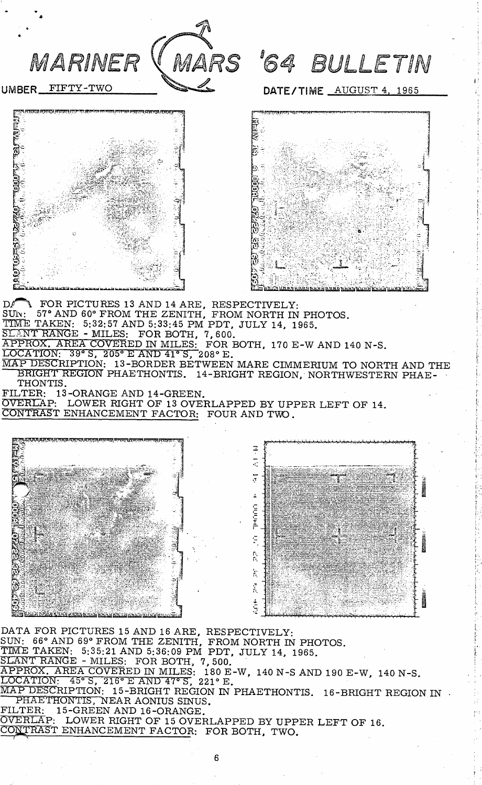

UMBER FIFTY-TWO

## MARS '64 BULLETIN

DATE/TIME AUGUST 4, 1965





 $\mathbf{D}$  FOR PICTURES 13 AND 14 ARE. RESPECTIVELY: SUN: 57° AND 60° FROM THE ZENITH, FROM NORTH IN PHOTOS. TIME TAKEN: 5:32:57 AND 5:33:45 PM PDT, JULY 14, 1965. SLANT RANGE - MILES: FOR BOTH, 7,600. XPPROX. AREA COVERED IN MILES: FOR BOTH, 170 E-W AND 140 N-S LOCATION: 39° S, 205° E AND 4l\* S, 208° E. MAP DESCRIPTION: 13-BORDER BETWEEN MARE CIMMERIUM TO NORTH AND THE BRIGHT REGION PHAETHONTIS. 14-BRIGHT REGION, NORTHWESTERN PHAE-THONTIS.

FILTER: 13-ORANGE AND 14-GREEN.

OVERLAP: LOWER RIGHT OF 13 OVERLAPPED BY UPPER LEFT OF 14. CONTRAST ENHANCEMENT FACTOR: FOUR AND TWO.



DATA FOR PICTURES 15 AND 16 ARE, RESPECTIVELY-SIM: 66° AND 69° FROM THE ZENITH, FROM NORTH IN PHOTOS. TIME TAKEN: 5:35:21 AND 5:36:09 PM PDT, JULY 14, 1965 SLANT RANGE - MILES: FOR BOTH, 7,500.  ${\tt APPROX.}$   ${\tt AREA\ COVERED\ IN\ MILES:}$  180 E-W, 140 N-S  ${\tt AND\ 190\ E-W.\ 140\ N\text{-S}}$ LOCATION: 45° S, 216° E AND 47° S, 221° E. MAP DESCRIPTION: 15-BRIGHT REGION IN PHAETHONTIS. 16-BRIGHT REGION IN PHAE I HUNTIS, NEAR AONIUS SINUS. FILTER: 15-GREEN AND 16-ORANGE.  $\overline{\text{overR}}$  . LOWER RIGHT OF 15 OVERLAPPED BY UPPER LEFT OF 16. CONTRAST ENHANCEMENT FACTOR: FOR BOTH, TWO.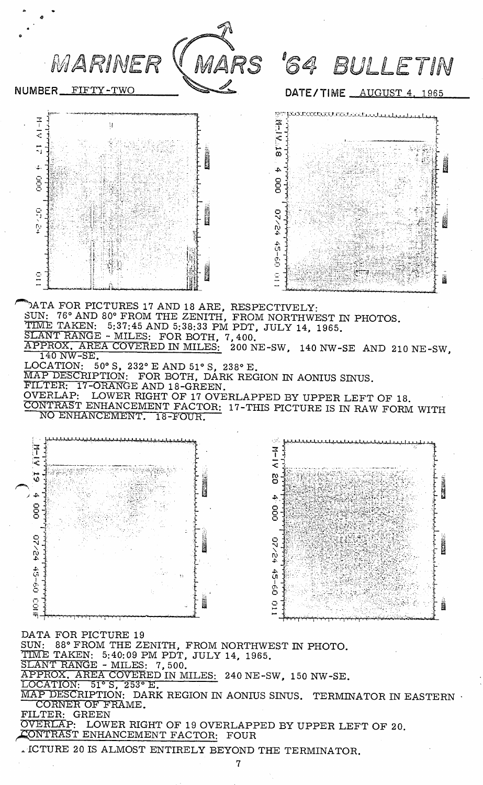